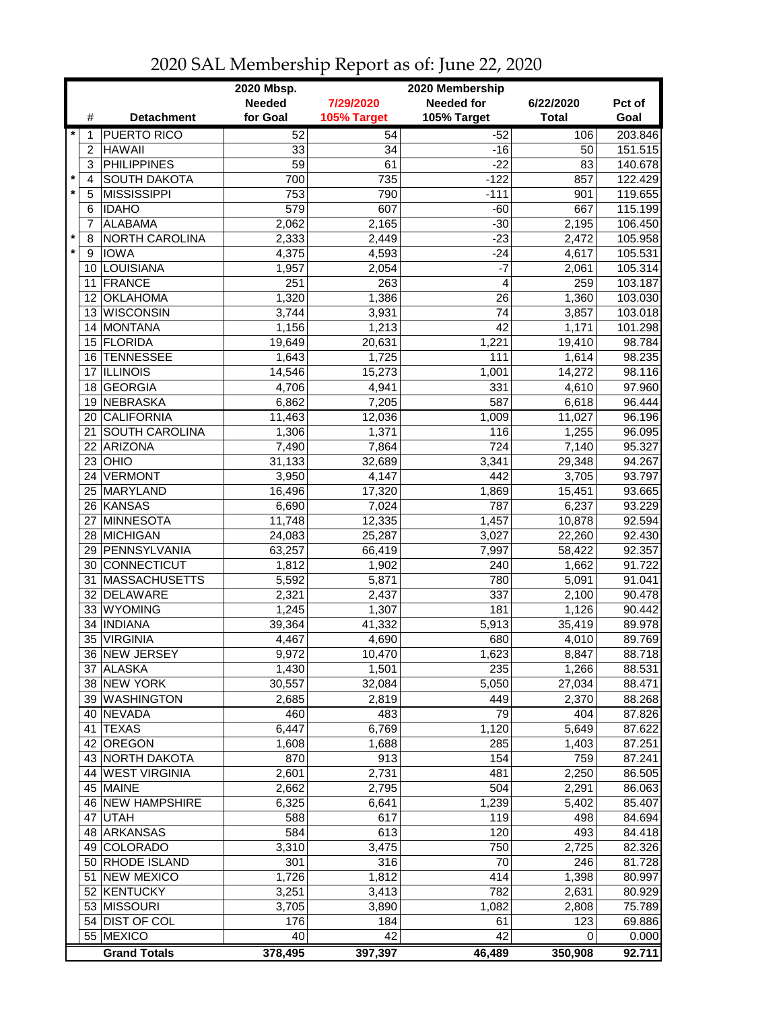|                 |                       | 2020 Mbsp.    | 2020 Membership  |                   |              |         |  |  |
|-----------------|-----------------------|---------------|------------------|-------------------|--------------|---------|--|--|
|                 |                       | <b>Needed</b> | 7/29/2020        | <b>Needed for</b> | 6/22/2020    | Pct of  |  |  |
| #               | <b>Detachment</b>     | for Goal      | 105% Target      | 105% Target       | <b>Total</b> | Goal    |  |  |
| $\star$<br>1    | <b>PUERTO RICO</b>    | 52            | 54               | $-52$             | 106          | 203.846 |  |  |
| $\overline{2}$  | <b>HAWAII</b>         | 33            | 34               | $-16$             | 50           | 151.515 |  |  |
| 3               | <b>PHILIPPINES</b>    | 59            | 61               | $-22$             | 83           | 140.678 |  |  |
| $\star$<br>4    | <b>SOUTH DAKOTA</b>   | 700           | 735              | $-122$            | 857          | 122.429 |  |  |
| $\star$<br>5    | <b>MISSISSIPPI</b>    | 753           | 790              | $-111$            | 901          | 119.655 |  |  |
| 6               | <b>IDAHO</b>          | 579           | 607              | $-60$             | 667          | 115.199 |  |  |
| 7               | <b>ALABAMA</b>        | 2,062         | 2,165            | $-30$             | 2,195        | 106.450 |  |  |
| $^\star$<br>8   | NORTH CAROLINA        | 2,333         | 2,449            | $-23$             | 2,472        | 105.958 |  |  |
| $\star$<br>9    | <b>IOWA</b>           | 4,375         | 4,593            | $-24$             | 4,617        | 105.531 |  |  |
|                 | 10 LOUISIANA          | 1,957         | 2,054            | $-7$              | 2,061        | 105.314 |  |  |
| 11              | FRANCE                | 251           | 263              | 4                 | 259          | 103.187 |  |  |
| 12 <sup>2</sup> | <b>OKLAHOMA</b>       | 1,320         | 1,386            | 26                | 1,360        | 103.030 |  |  |
|                 | 13 WISCONSIN          | 3,744         | 3,931            | 74                | 3,857        | 103.018 |  |  |
|                 | 14 MONTANA            | 1,156         | 1,213            | 42                | 1,171        | 101.298 |  |  |
|                 | 15 FLORIDA            | 19,649        | 20,631           | 1,221             | 19,410       | 98.784  |  |  |
| 16              | <b>TENNESSEE</b>      | 1,643         | 1,725            | 111               | 1,614        | 98.235  |  |  |
| 17              | <b>ILLINOIS</b>       | 14,546        | 15,273           | 1,001             | 14,272       | 98.116  |  |  |
| 18              | GEORGIA               | 4,706         | 4,941            | 331               | 4,610        | 97.960  |  |  |
| 19              | NEBRASKA              | 6,862         | 7,205            | 587               | 6,618        | 96.444  |  |  |
| 20              | CALIFORNIA            | 11,463        | 12,036           | 1,009             | 11,027       | 96.196  |  |  |
| 21              | <b>SOUTH CAROLINA</b> | 1,306         | 1,371            | 116               | 1,255        | 96.095  |  |  |
| 22              | ARIZONA               | 7,490         | 7,864            | 724               | 7,140        | 95.327  |  |  |
| 23              | OHIO                  | 31,133        | 32,689           | 3,341             | 29,348       | 94.267  |  |  |
| 24              | VERMONT               | 3,950         | 4,147            | 442               | 3,705        | 93.797  |  |  |
|                 | 25 MARYLAND           | 16,496        | 17,320           | 1,869             | 15,451       | 93.665  |  |  |
|                 | 26 KANSAS             | 6,690         | 7,024            | 787               | 6,237        | 93.229  |  |  |
|                 | 27 MINNESOTA          | 11,748        | 12,335           | 1,457             | 10,878       | 92.594  |  |  |
|                 | 28 MICHIGAN           | 24,083        | 25,287           | 3,027             | 22,260       | 92.430  |  |  |
|                 | 29 PENNSYLVANIA       | 63,257        | 66,419           | 7,997             | 58,422       | 92.357  |  |  |
|                 | 30 CONNECTICUT        | 1,812         | 1,902            | 240               | 1,662        | 91.722  |  |  |
| 31              | <b>MASSACHUSETTS</b>  | 5,592         | 5,871            | 780               | 5,091        | 91.041  |  |  |
|                 | 32 DELAWARE           | 2,321         | 2,437            | 337               | 2,100        | 90.478  |  |  |
|                 | 33 WYOMING            | 1,245         | 1,307            | 181               | 1,126        | 90.442  |  |  |
| 34              | <b>INDIANA</b>        | 39,364        | 41,332           | 5,913             | 35,419       | 89.978  |  |  |
| 35              | <b>VIRGINIA</b>       | 4,467         | 4,690            | 680               | 4,010        | 89.769  |  |  |
|                 | 36 NEW JERSEY         | 9,972         | 10,470           | 1,623             | 8,847        | 88.718  |  |  |
|                 | 37 ALASKA             | 1,430         | 1,501            | 235               | 1,266        | 88.531  |  |  |
|                 | 38 NEW YORK           | 30,557        | 32,084           | 5,050             | 27,034       | 88.471  |  |  |
|                 | 39 WASHINGTON         | 2,685         | 2,819            | 449               | 2,370        | 88.268  |  |  |
|                 | 40 NEVADA             | 460           | 483              | 79                | 404          | 87.826  |  |  |
| 41              | <b>TEXAS</b>          | 6,447         | 6,769            | 1,120             | 5,649        | 87.622  |  |  |
| 42              | OREGON                | 1,608         | 1,688            | 285               | 1,403        | 87.251  |  |  |
|                 | 43 NORTH DAKOTA       | 870           | $\overline{913}$ | 154               | 759          | 87.241  |  |  |
|                 | 44 WEST VIRGINIA      | 2,601         | 2,731            | 481               | 2,250        | 86.505  |  |  |
|                 | 45 MAINE              | 2,662         | 2,795            | 504               | 2,291        | 86.063  |  |  |
|                 | 46 NEW HAMPSHIRE      | 6,325         | 6,641            | 1,239             | 5,402        | 85.407  |  |  |
|                 | 47 UTAH               | 588           | 617              | 119               | 498          | 84.694  |  |  |
|                 | 48 ARKANSAS           | 584           | 613              | 120               | 493          | 84.418  |  |  |
|                 | 49 COLORADO           | 3,310         | 3,475            | 750               | 2,725        | 82.326  |  |  |
|                 | 50 RHODE ISLAND       | 301           | 316              | 70                | 246          | 81.728  |  |  |
|                 | 51 NEW MEXICO         | 1,726         | 1,812            | 414               | 1,398        | 80.997  |  |  |
|                 | 52 KENTUCKY           | 3,251         | 3,413            | 782               | 2,631        | 80.929  |  |  |
|                 | 53 MISSOURI           | 3,705         | 3,890            | 1,082             | 2,808        | 75.789  |  |  |
|                 | 54 DIST OF COL        | 176           | 184              | 61                | 123          | 69.886  |  |  |
|                 | 55 MEXICO             | 40            | 42               | 42                | 0            | 0.000   |  |  |
|                 | <b>Grand Totals</b>   | 378,495       | 397,397          | 46,489            | 350,908      | 92.711  |  |  |

## 2020 SAL Membership Report as of: June 22, 2020